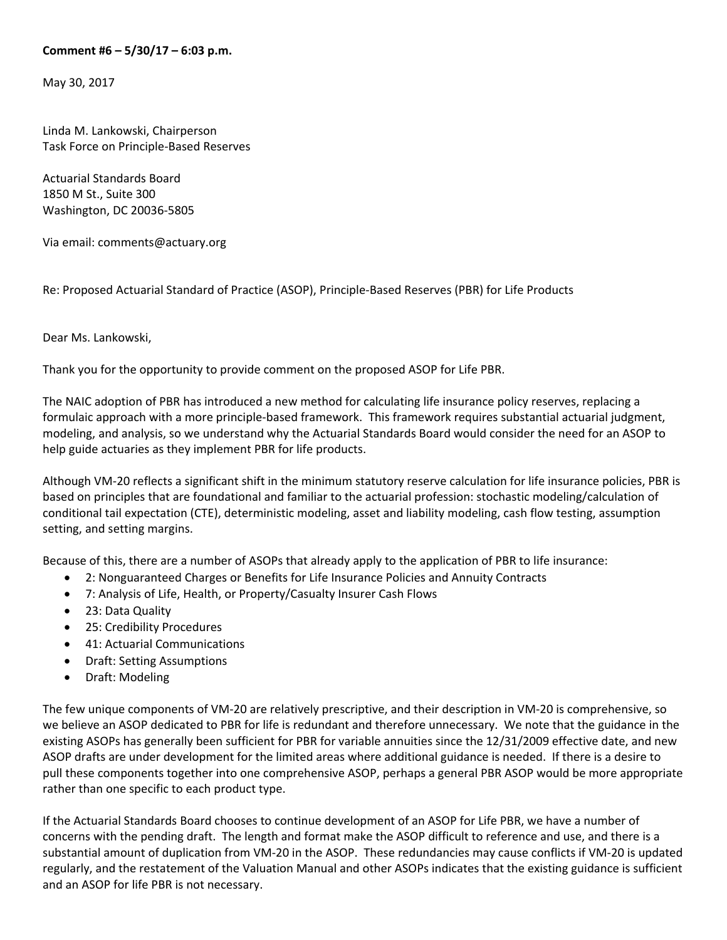#### **Comment #6 – 5/30/17 – 6:03 p.m.**

May 30, 2017

Linda M. Lankowski, Chairperson Task Force on Principle‐Based Reserves

Actuarial Standards Board 1850 M St., Suite 300 Washington, DC 20036‐5805

Via email: comments@actuary.org

Re: Proposed Actuarial Standard of Practice (ASOP), Principle‐Based Reserves (PBR) for Life Products

Dear Ms. Lankowski,

Thank you for the opportunity to provide comment on the proposed ASOP for Life PBR.

The NAIC adoption of PBR has introduced a new method for calculating life insurance policy reserves, replacing a formulaic approach with a more principle-based framework. This framework requires substantial actuarial judgment, modeling, and analysis, so we understand why the Actuarial Standards Board would consider the need for an ASOP to help guide actuaries as they implement PBR for life products.

Although VM‐20 reflects a significant shift in the minimum statutory reserve calculation for life insurance policies, PBR is based on principles that are foundational and familiar to the actuarial profession: stochastic modeling/calculation of conditional tail expectation (CTE), deterministic modeling, asset and liability modeling, cash flow testing, assumption setting, and setting margins.

Because of this, there are a number of ASOPs that already apply to the application of PBR to life insurance:

- 2: Nonguaranteed Charges or Benefits for Life Insurance Policies and Annuity Contracts
- 7: Analysis of Life, Health, or Property/Casualty Insurer Cash Flows
- 23: Data Quality
- 25: Credibility Procedures
- 41: Actuarial Communications
- Draft: Setting Assumptions
- Draft: Modeling

The few unique components of VM‐20 are relatively prescriptive, and their description in VM‐20 is comprehensive, so we believe an ASOP dedicated to PBR for life is redundant and therefore unnecessary. We note that the guidance in the existing ASOPs has generally been sufficient for PBR for variable annuities since the 12/31/2009 effective date, and new ASOP drafts are under development for the limited areas where additional guidance is needed. If there is a desire to pull these components together into one comprehensive ASOP, perhaps a general PBR ASOP would be more appropriate rather than one specific to each product type.

If the Actuarial Standards Board chooses to continue development of an ASOP for Life PBR, we have a number of concerns with the pending draft. The length and format make the ASOP difficult to reference and use, and there is a substantial amount of duplication from VM‐20 in the ASOP. These redundancies may cause conflicts if VM‐20 is updated regularly, and the restatement of the Valuation Manual and other ASOPs indicates that the existing guidance is sufficient and an ASOP for life PBR is not necessary.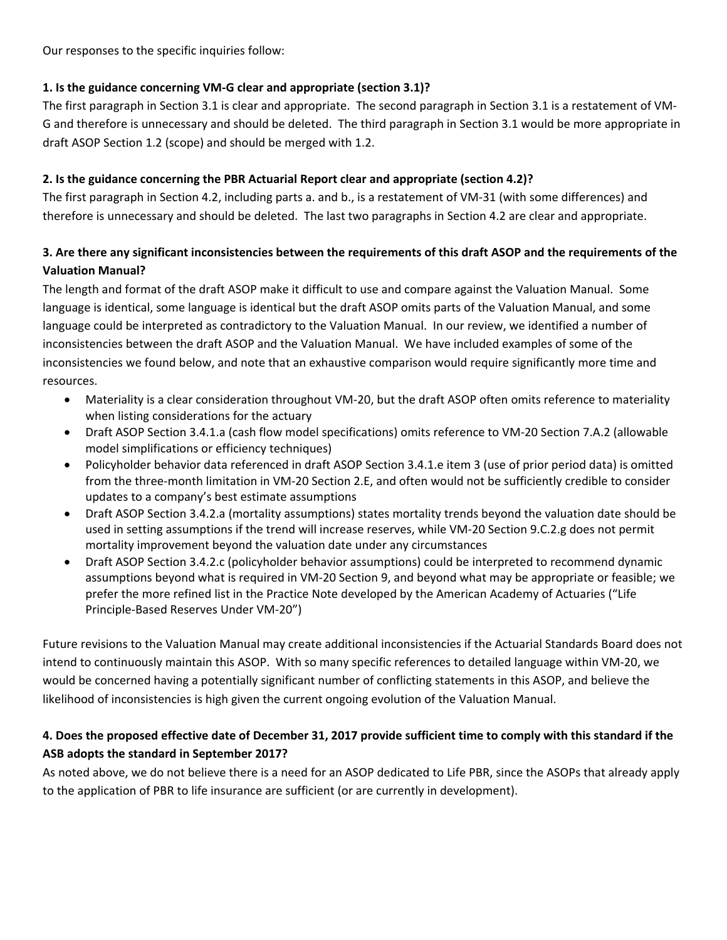Our responses to the specific inquiries follow:

### **1. Is the guidance concerning VM‐G clear and appropriate (section 3.1)?**

The first paragraph in Section 3.1 is clear and appropriate. The second paragraph in Section 3.1 is a restatement of VM‐ G and therefore is unnecessary and should be deleted. The third paragraph in Section 3.1 would be more appropriate in draft ASOP Section 1.2 (scope) and should be merged with 1.2.

### **2. Is the guidance concerning the PBR Actuarial Report clear and appropriate (section 4.2)?**

The first paragraph in Section 4.2, including parts a. and b., is a restatement of VM‐31 (with some differences) and therefore is unnecessary and should be deleted. The last two paragraphs in Section 4.2 are clear and appropriate.

# 3. Are there any significant inconsistencies between the requirements of this draft ASOP and the requirements of the **Valuation Manual?**

The length and format of the draft ASOP make it difficult to use and compare against the Valuation Manual. Some language is identical, some language is identical but the draft ASOP omits parts of the Valuation Manual, and some language could be interpreted as contradictory to the Valuation Manual. In our review, we identified a number of inconsistencies between the draft ASOP and the Valuation Manual. We have included examples of some of the inconsistencies we found below, and note that an exhaustive comparison would require significantly more time and resources.

- Materiality is a clear consideration throughout VM-20, but the draft ASOP often omits reference to materiality when listing considerations for the actuary
- Draft ASOP Section 3.4.1.a (cash flow model specifications) omits reference to VM‐20 Section 7.A.2 (allowable model simplifications or efficiency techniques)
- Policyholder behavior data referenced in draft ASOP Section 3.4.1.e item 3 (use of prior period data) is omitted from the three‐month limitation in VM‐20 Section 2.E, and often would not be sufficiently credible to consider updates to a company's best estimate assumptions
- Draft ASOP Section 3.4.2.a (mortality assumptions) states mortality trends beyond the valuation date should be used in setting assumptions if the trend will increase reserves, while VM‐20 Section 9.C.2.g does not permit mortality improvement beyond the valuation date under any circumstances
- Draft ASOP Section 3.4.2.c (policyholder behavior assumptions) could be interpreted to recommend dynamic assumptions beyond what is required in VM‐20 Section 9, and beyond what may be appropriate or feasible; we prefer the more refined list in the Practice Note developed by the American Academy of Actuaries ("Life Principle‐Based Reserves Under VM‐20")

Future revisions to the Valuation Manual may create additional inconsistencies if the Actuarial Standards Board does not intend to continuously maintain this ASOP. With so many specific references to detailed language within VM‐20, we would be concerned having a potentially significant number of conflicting statements in this ASOP, and believe the likelihood of inconsistencies is high given the current ongoing evolution of the Valuation Manual.

## 4. Does the proposed effective date of December 31, 2017 provide sufficient time to comply with this standard if the **ASB adopts the standard in September 2017?**

As noted above, we do not believe there is a need for an ASOP dedicated to Life PBR, since the ASOPs that already apply to the application of PBR to life insurance are sufficient (or are currently in development).